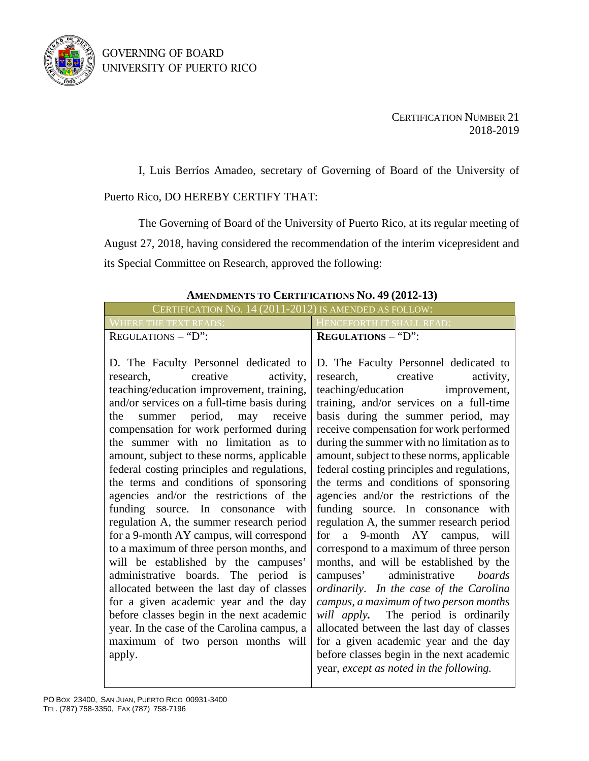GOVERNING OF BOARD UNIVERSITY OF PUERTO RICO



CERTIFICATION NUMBER 21 2018-2019

I, Luis Berríos Amadeo, secretary of Governing of Board of the University of Puerto Rico, DO HEREBY CERTIFY THAT:

The Governing of Board of the University of Puerto Rico, at its regular meeting of August 27, 2018, having considered the recommendation of the interim vicepresident and its Special Committee on Research, approved the following:

## **AMENDMENTS TO CERTIFICATIONS NO. 49 (2012-13)**